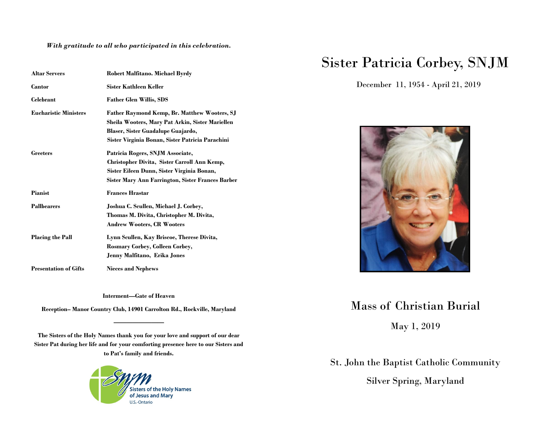*With gratitude to all who participated in this celebration.*

| <b>Altar Servers</b>         | Robert Malfitano. Michael Byrdy                                                                                                                                                                   |
|------------------------------|---------------------------------------------------------------------------------------------------------------------------------------------------------------------------------------------------|
| Cantor                       | <b>Sister Kathleen Keller</b>                                                                                                                                                                     |
| Celebrant                    | <b>Father Glen Willis, SDS</b>                                                                                                                                                                    |
| <b>Eucharistic Ministers</b> | <b>Father Raymond Kemp, Br. Matthew Wooters, SJ</b><br>Sheila Wooters, Mary Pat Arkin, Sister Mariellen<br>Blaser, Sister Guadalupe Guajardo,<br>Sister Virginia Bonan, Sister Patricia Parachini |
| <b>Greeters</b>              | Patricia Rogers, SNJM Associate,<br>Christopher Divita, Sister Carroll Ann Kemp,<br>Sister Eileen Dunn, Sister Virginia Bonan,<br>Sister Mary Ann Farrington, Sister Frances Barber               |
| <b>Pianist</b>               | <b>Frances Hrastar</b>                                                                                                                                                                            |
| <b>Pallbearers</b>           | Joshua C. Scullen, Michael J. Corbey,<br>Thomas M. Divita, Christopher M. Divita,<br><b>Andrew Wooters, CR Wooters</b>                                                                            |
| <b>Placing the Pall</b>      | Lynn Scullen, Kay Briscoe, Therese Divita,<br><b>Rosmary Corbey, Colleen Corbey,</b><br>Jenny Malfitano, Erika Jones                                                                              |
| <b>Presentation of Gifts</b> | <b>Nieces and Nephews</b>                                                                                                                                                                         |

**Interment—Gate of Heaven**

**Reception– Manor Country Club, 14901 Carrolton Rd., Rockville, Maryland ————————**

**The Sisters of the Holy Names thank you for your love and support of our dear Sister Pat during her life and for your comforting presence here to our Sisters and to Pat's family and friends.**



## Sister Patricia Corbey, SNJM

December 11, 1954 - April 21, 2019



## Mass of Christian Burial

May 1, 2019

St. John the Baptist Catholic Community Silver Spring, Maryland